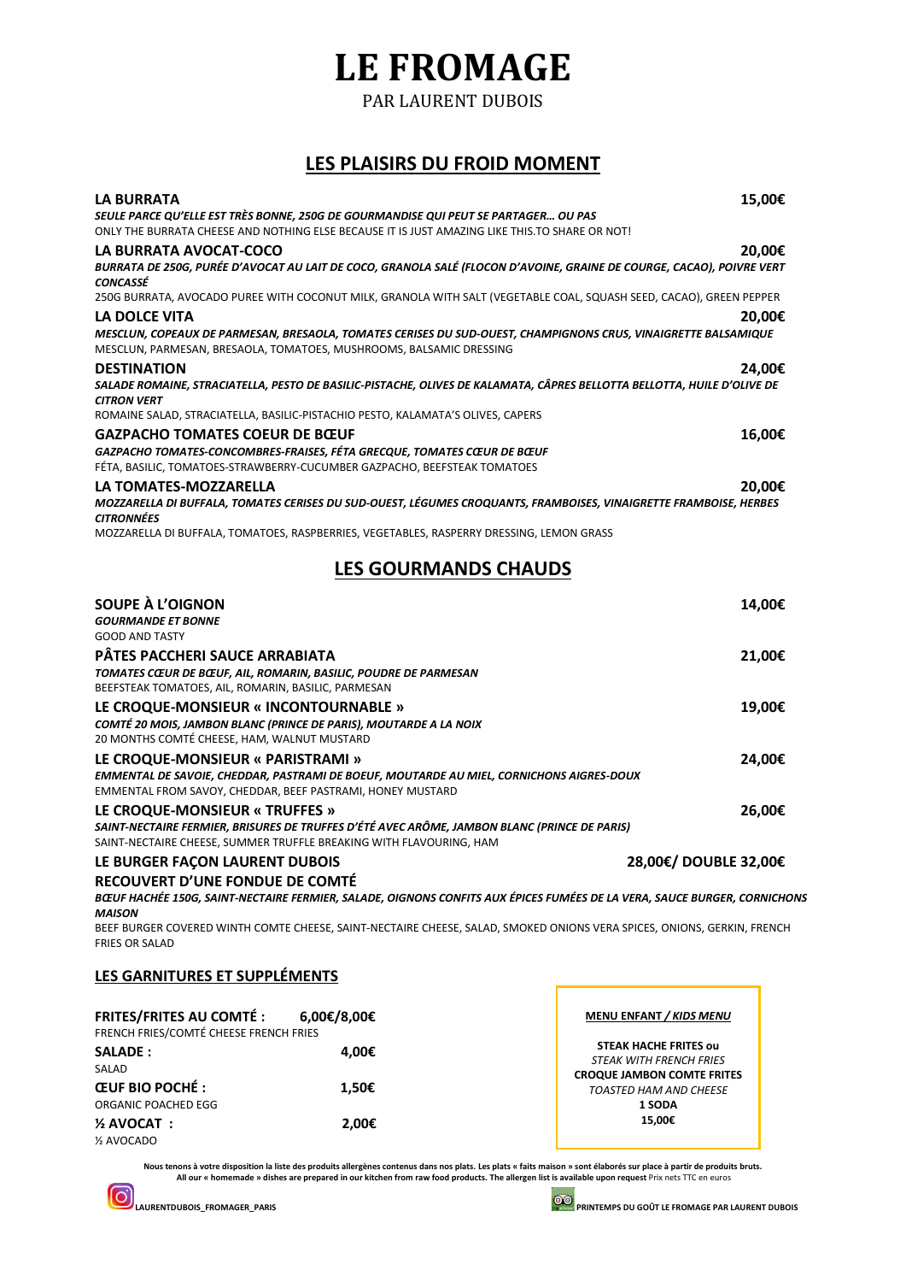## **LE FROMAGE**

PAR LAURENT DUBOIS

### **LES PLAISIRS DU FROID MOMENT**

| <b>LA BURRATA</b>                                                                                                                                                                     | 15,00€ |
|---------------------------------------------------------------------------------------------------------------------------------------------------------------------------------------|--------|
| SEULE PARCE QU'ELLE EST TRÈS BONNE, 250G DE GOURMANDISE QUI PEUT SE PARTAGER OU PAS                                                                                                   |        |
| ONLY THE BURRATA CHEESE AND NOTHING ELSE BECAUSE IT IS JUST AMAZING LIKE THIS.TO SHARE OR NOT!                                                                                        |        |
| LA BURRATA AVOCAT-COCO                                                                                                                                                                | 20,00€ |
| BURRATA DE 250G, PURÉE D'AVOCAT AU LAIT DE COCO, GRANOLA SALÉ (FLOCON D'AVOINE, GRAINE DE COURGE, CACAO), POIVRE VERT<br><b>CONCASSÉ</b>                                              |        |
| 250G BURRATA, AVOCADO PUREE WITH COCONUT MILK, GRANOLA WITH SALT (VEGETABLE COAL, SQUASH SEED, CACAO), GREEN PEPPER                                                                   |        |
| LA DOLCE VITA                                                                                                                                                                         | 20,00€ |
| MESCLUN, COPEAUX DE PARMESAN, BRESAOLA, TOMATES CERISES DU SUD-OUEST, CHAMPIGNONS CRUS, VINAIGRETTE BALSAMIQUE<br>MESCLUN, PARMESAN, BRESAOLA, TOMATOES, MUSHROOMS, BALSAMIC DRESSING |        |
| <b>DESTINATION</b>                                                                                                                                                                    | 24.00€ |
| SALADE ROMAINE, STRACIATELLA, PESTO DE BASILIC-PISTACHE, OLIVES DE KALAMATA, CÂPRES BELLOTTA BELLOTTA, HUILE D'OLIVE DE<br><b>CITRON VERT</b>                                         |        |
| ROMAINE SALAD, STRACIATELLA, BASILIC-PISTACHIO PESTO, KALAMATA'S OLIVES, CAPERS                                                                                                       |        |
| <b>GAZPACHO TOMATES COEUR DE BŒUF</b>                                                                                                                                                 | 16,00€ |
| GAZPACHO TOMATES-CONCOMBRES-FRAISES, FÉTA GRECQUE, TOMATES CŒUR DE BŒUF<br>FÉTA, BASILIC, TOMATOES-STRAWBERRY-CUCUMBER GAZPACHO, BEEFSTEAK TOMATOES                                   |        |
| LA TOMATES-MOZZARELLA                                                                                                                                                                 | 20,00€ |
| MOZZARELLA DI BUFFALA, TOMATES CERISES DU SUD-OUEST, LÉGUMES CROQUANTS, FRAMBOISES, VINAIGRETTE FRAMBOISE, HERBES<br><b>CITRONNÉES</b>                                                |        |
| MOZZARELLA DI BUFFALA, TOMATOES, RASPBERRIES, VEGETABLES, RASPERRY DRESSING, LEMON GRASS                                                                                              |        |
| <b>LES GOURMANDS CHAUDS</b>                                                                                                                                                           |        |
| SOUPE À L'OIGNON                                                                                                                                                                      | 14,00€ |
| <b>GOURMANDE ET BONNE</b>                                                                                                                                                             |        |
| <b>GOOD AND TASTY</b>                                                                                                                                                                 |        |
| PÂTES PACCHERI SAUCE ARRABIATA                                                                                                                                                        | 21,00€ |
| TOMATES CŒUR DE BŒUF, AIL, ROMARIN, BASILIC, POUDRE DE PARMESAN<br>BEEFSTEAK TOMATOES, AIL, ROMARIN, BASILIC, PARMESAN                                                                |        |
| LE CROQUE-MONSIEUR « INCONTOURNABLE »                                                                                                                                                 | 19,00€ |
| COMTÉ 20 MOIS, JAMBON BLANC (PRINCE DE PARIS), MOUTARDE A LA NOIX<br>20 MONTHS COMTÉ CHEESE, HAM, WALNUT MUSTARD                                                                      |        |
| LE CROQUE-MONSIEUR « PARISTRAMI »                                                                                                                                                     | 24.00€ |
| EMMENTAL DE SAVOIE, CHEDDAR, PASTRAMI DE BOEUF, MOUTARDE AU MIEL, CORNICHONS AIGRES-DOUX<br>EMMENTAL FROM SAVOY, CHEDDAR, BEEF PASTRAMI, HONEY MUSTARD                                |        |
|                                                                                                                                                                                       |        |

*SAINT-NECTAIRE FERMIER, BRISURES DE TRUFFES D'ÉTÉ AVEC ARÔME, JAMBON BLANC (PRINCE DE PARIS)* SAINT-NECTAIRE CHEESE, SUMMER TRUFFLE BREAKING WITH FLAVOURING, HAM

#### **LE BURGER FAÇON LAURENT DUBOIS 28,00€/ DOUBLE 32,00€**

**RECOUVERT D'UNE FONDUE DE COMTÉ**

*BŒUF HACHÉE 150G, SAINT-NECTAIRE FERMIER, SALADE, OIGNONS CONFITS AUX ÉPICES FUMÉES DE LA VERA, SAUCE BURGER, CORNICHONS MAISON*

BEEF BURGER COVERED WINTH COMTE CHEESE, SAINT-NECTAIRE CHEESE, SALAD, SMOKED ONIONS VERA SPICES, ONIONS, GERKIN, FRENCH FRIES OR SALAD

### **LES GARNITURES ET SUPPLÉMENTS**

| <b>FRITES/FRITES AU COMTÉ :</b><br>FRENCH FRIES/COMTÉ CHEESE FRENCH FRIES | 6.00€/8.00€ | <b>MENU ENFANT / KIDS MENU</b>    |
|---------------------------------------------------------------------------|-------------|-----------------------------------|
|                                                                           |             | <b>STEAK HACHE FRITES OU</b>      |
| <b>SALADE:</b>                                                            | 4.00€       | <b>STEAK WITH FRENCH FRIES</b>    |
| SALAD                                                                     |             | <b>CROQUE JAMBON COMTE FRITES</b> |
| <b>ŒUF BIO POCHÉ:</b>                                                     | 1.50€       | TOASTED HAM AND CHEESE            |
| ORGANIC POACHED EGG                                                       |             | 1 SODA                            |
| $\frac{1}{2}$ AVOCAT :                                                    | 2.00€       | 15.00€                            |
| 1/2 AVOCADO                                                               |             |                                   |

Nous tenons à votre disposition la liste des produits allergènes contenus dans nos plats. Les plats « faits maison » sont élaborés sur place à partir de produits bruts.<br>All our « homemade » dishes are prepared in our kitch

**LAURENTDUBOIS\_FROMAGER\_PARIS**<br>LAURENTDUBOIS\_FROMAGER\_PARIS